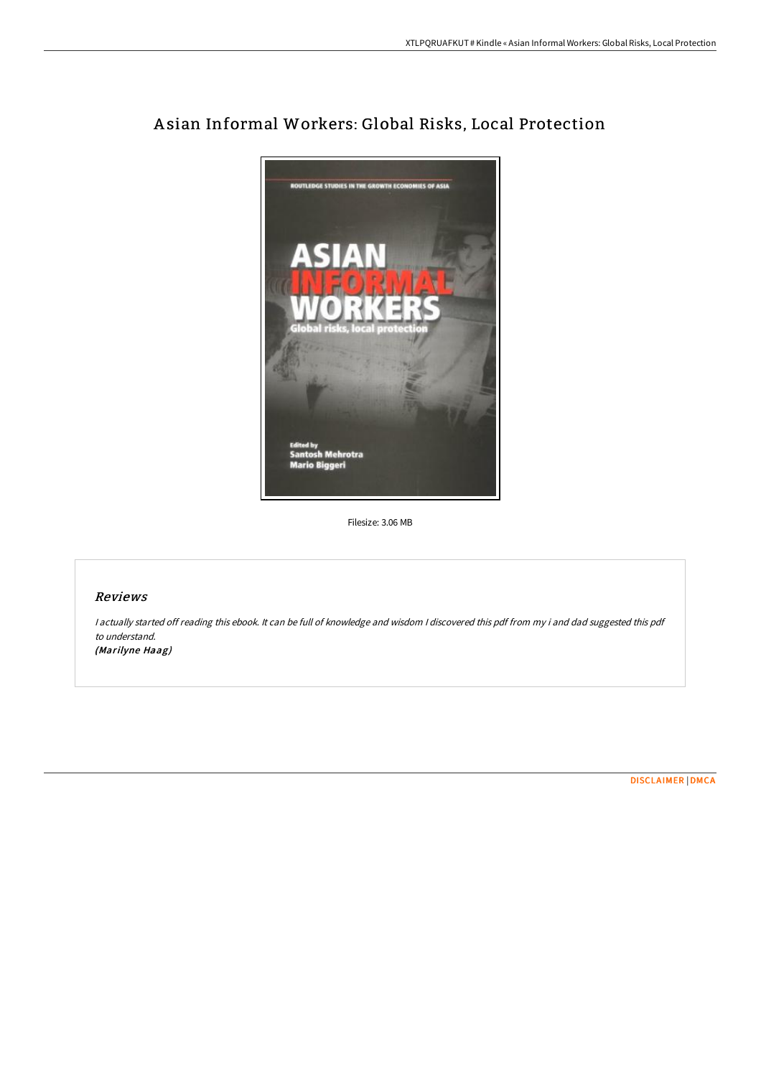

# A sian Informal Workers: Global Risks, Local Protection

Filesize: 3.06 MB

## Reviews

<sup>I</sup> actually started off reading this ebook. It can be full of knowledge and wisdom <sup>I</sup> discovered this pdf from my i and dad suggested this pdf to understand. (Marilyne Haag)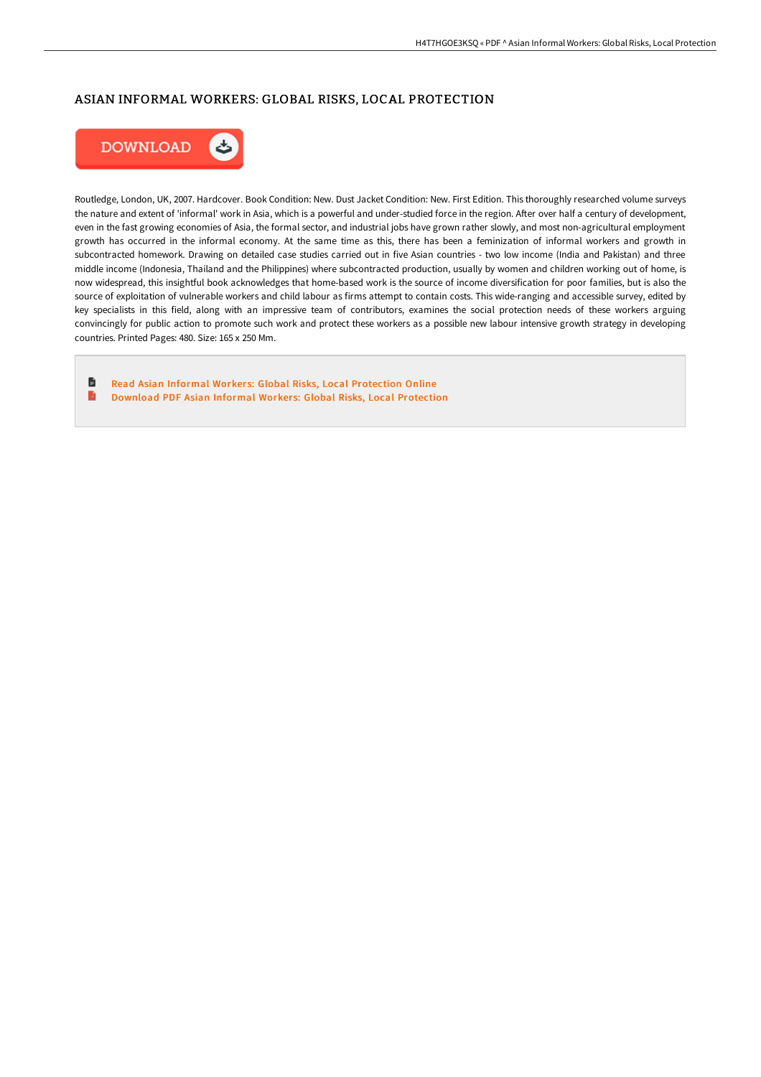## ASIAN INFORMAL WORKERS: GLOBAL RISKS, LOCAL PROTECTION



Routledge, London, UK, 2007. Hardcover. Book Condition: New. Dust Jacket Condition: New. First Edition. This thoroughly researched volume surveys the nature and extent of 'informal' work in Asia, which is a powerful and under-studied force in the region. After over half a century of development, even in the fast growing economies of Asia, the formal sector, and industrial jobs have grown rather slowly, and most non-agricultural employment growth has occurred in the informal economy. At the same time as this, there has been a feminization of informal workers and growth in subcontracted homework. Drawing on detailed case studies carried out in five Asian countries - two low income (India and Pakistan) and three middle income (Indonesia, Thailand and the Philippines) where subcontracted production, usually by women and children working out of home, is now widespread, this insightful book acknowledges that home-based work is the source of income diversification for poor families, but is also the source of exploitation of vulnerable workers and child labour as firms attempt to contain costs. This wide-ranging and accessible survey, edited by key specialists in this field, along with an impressive team of contributors, examines the social protection needs of these workers arguing convincingly for public action to promote such work and protect these workers as a possible new labour intensive growth strategy in developing countries. Printed Pages: 480. Size: 165 x 250 Mm.

 $\blacksquare$ Read Asian Informal Workers: Global Risks, Local [Protection](http://digilib.live/asian-informal-workers-global-risks-local-protec.html) Online B Download PDF Asian Informal Workers: Global Risks, Local [Protection](http://digilib.live/asian-informal-workers-global-risks-local-protec.html)